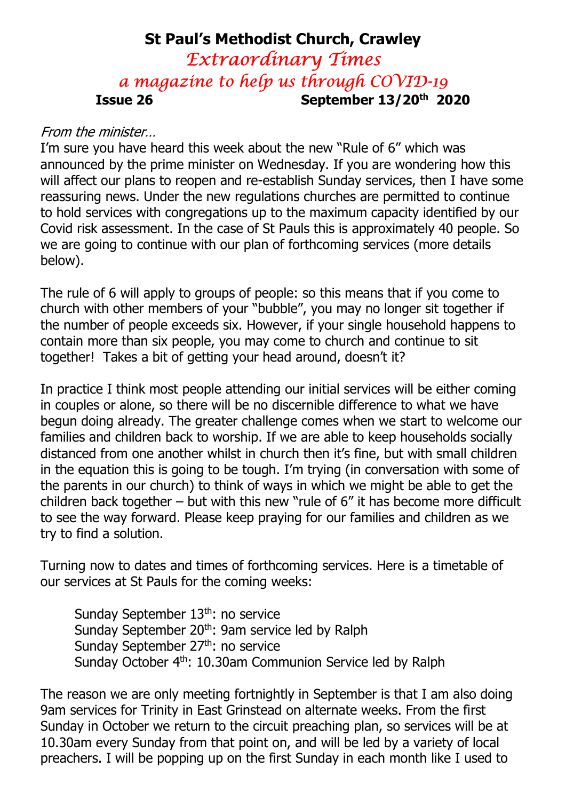## St Paul's Methodist Church, Crawley Extraordinary Times a magazine to help us through COVID-19 Issue 26 September 13/20th 2020

#### From the minister…

I'm sure you have heard this week about the new "Rule of 6" which was announced by the prime minister on Wednesday. If you are wondering how this will affect our plans to reopen and re-establish Sunday services, then I have some reassuring news. Under the new regulations churches are permitted to continue to hold services with congregations up to the maximum capacity identified by our Covid risk assessment. In the case of St Pauls this is approximately 40 people. So we are going to continue with our plan of forthcoming services (more details below).

The rule of 6 will apply to groups of people: so this means that if you come to church with other members of your "bubble", you may no longer sit together if the number of people exceeds six. However, if your single household happens to contain more than six people, you may come to church and continue to sit together! Takes a bit of getting your head around, doesn't it?

In practice I think most people attending our initial services will be either coming in couples or alone, so there will be no discernible difference to what we have begun doing already. The greater challenge comes when we start to welcome our families and children back to worship. If we are able to keep households socially distanced from one another whilst in church then it's fine, but with small children in the equation this is going to be tough. I'm trying (in conversation with some of the parents in our church) to think of ways in which we might be able to get the children back together – but with this new "rule of 6" it has become more difficult to see the way forward. Please keep praying for our families and children as we try to find a solution.

Turning now to dates and times of forthcoming services. Here is a timetable of our services at St Pauls for the coming weeks:

Sunday September 13<sup>th</sup>: no service Sunday September 20<sup>th</sup>: 9am service led by Ralph Sunday September 27<sup>th</sup>: no service Sunday October 4<sup>th</sup>: 10.30am Communion Service led by Ralph

The reason we are only meeting fortnightly in September is that I am also doing 9am services for Trinity in East Grinstead on alternate weeks. From the first Sunday in October we return to the circuit preaching plan, so services will be at 10.30am every Sunday from that point on, and will be led by a variety of local preachers. I will be popping up on the first Sunday in each month like I used to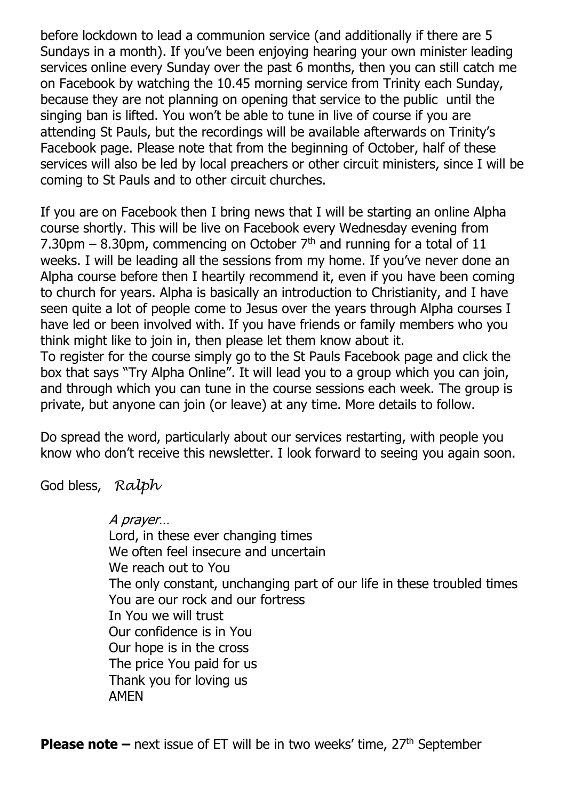before lockdown to lead a communion service (and additionally if there are 5 Sundays in a month). If you've been enjoying hearing your own minister leading services online every Sunday over the past 6 months, then you can still catch me on Facebook by watching the 10.45 morning service from Trinity each Sunday, because they are not planning on opening that service to the public until the singing ban is lifted. You won't be able to tune in live of course if you are attending St Pauls, but the recordings will be available afterwards on Trinity's Facebook page. Please note that from the beginning of October, half of these services will also be led by local preachers or other circuit ministers, since I will be coming to St Pauls and to other circuit churches.

If you are on Facebook then I bring news that I will be starting an online Alpha course shortly. This will be live on Facebook every Wednesday evening from 7.30pm – 8.30pm, commencing on October  $7<sup>th</sup>$  and running for a total of 11 weeks. I will be leading all the sessions from my home. If you've never done an Alpha course before then I heartily recommend it, even if you have been coming to church for years. Alpha is basically an introduction to Christianity, and I have seen quite a lot of people come to Jesus over the years through Alpha courses I have led or been involved with. If you have friends or family members who you think might like to join in, then please let them know about it.

To register for the course simply go to the St Pauls Facebook page and click the box that says "Try Alpha Online". It will lead you to a group which you can join, and through which you can tune in the course sessions each week. The group is private, but anyone can join (or leave) at any time. More details to follow.

Do spread the word, particularly about our services restarting, with people you know who don't receive this newsletter. I look forward to seeing you again soon.

God bless, Ralph

A prayer… Lord, in these ever changing times We often feel insecure and uncertain We reach out to You The only constant, unchanging part of our life in these troubled times You are our rock and our fortress In You we will trust Our confidence is in You Our hope is in the cross The price You paid for us Thank you for loving us AMEN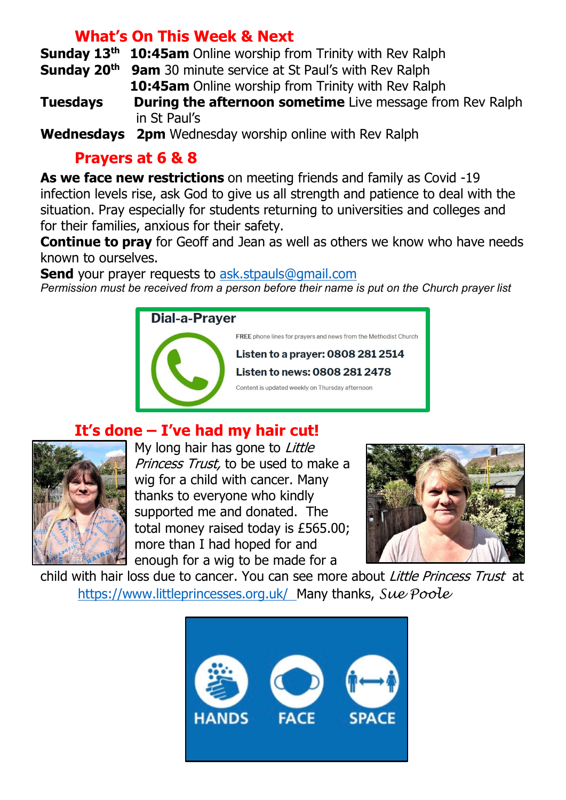#### What's On This Week & Next

Sundav 13<sup>th</sup> 10:45am Online worship from Trinity with Rev Ralph

**Sunday 20<sup>th</sup>** 9am 30 minute service at St Paul's with Rev Ralph 10:45am Online worship from Trinity with Rev Ralph

**Tuesdays** During the afternoon sometime Live message from Rev Ralph in St Paul's

Wednesdays 2pm Wednesday worship online with Rev Ralph

### Prayers at 6 & 8

As we face new restrictions on meeting friends and family as Covid -19 infection levels rise, ask God to give us all strength and patience to deal with the situation. Pray especially for students returning to universities and colleges and for their families, anxious for their safety.

**Continue to pray** for Geoff and Jean as well as others we know who have needs known to ourselves.

**Send** your prayer requests to ask.stpauls@gmail.com Permission must be received from a person before their name is put on the Church prayer list



# It's done – I've had my hair cut!



My long hair has gone to Little Princess Trust, to be used to make a wig for a child with cancer. Many thanks to everyone who kindly supported me and donated. The total money raised today is £565.00; more than I had hoped for and enough for a wig to be made for a



child with hair loss due to cancer. You can see more about *Little Princess Trust* at https://www.littleprincesses.org.uk/ Many thanks, Sue Poole